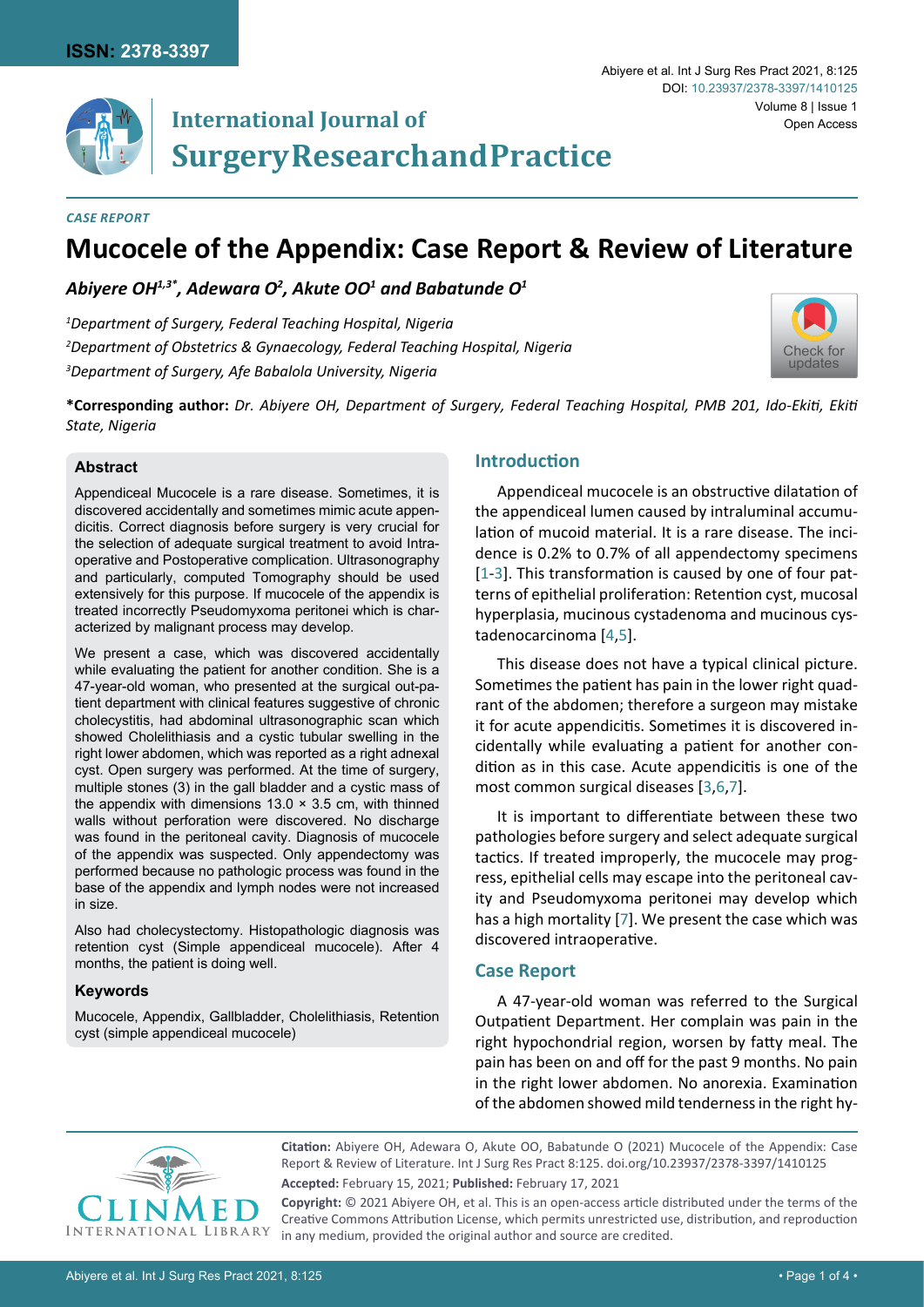

# **International Journal of Surgery Research and Practice**

#### *Case Report*

# **Mucocele of the Appendix: Case Report & Review of Literature**

Abiyere OH $^{1,3^\ast}$ , Adewara O<sup>2</sup>, Akute OO $^{\rm 1}$  and Babatunde O $^{\rm 1}$ 

*1 Department of Surgery, Federal Teaching Hospital, Nigeria 2 Department of Obstetrics & Gynaecology, Federal Teaching Hospital, Nigeria 3 Department of Surgery, Afe Babalola University, Nigeria*



**\*Corresponding author:** *Dr. Abiyere OH, Department of Surgery, Federal Teaching Hospital, PMB 201, Ido-Ekiti, Ekiti State, Nigeria*

# **Abstract**

Appendiceal Mucocele is a rare disease. Sometimes, it is discovered accidentally and sometimes mimic acute appendicitis. Correct diagnosis before surgery is very crucial for the selection of adequate surgical treatment to avoid Intraoperative and Postoperative complication. Ultrasonography and particularly, computed Tomography should be used extensively for this purpose. If mucocele of the appendix is treated incorrectly Pseudomyxoma peritonei which is characterized by malignant process may develop.

We present a case, which was discovered accidentally while evaluating the patient for another condition. She is a 47-year-old woman, who presented at the surgical out-patient department with clinical features suggestive of chronic cholecystitis, had abdominal ultrasonographic scan which showed Cholelithiasis and a cystic tubular swelling in the right lower abdomen, which was reported as a right adnexal cyst. Open surgery was performed. At the time of surgery, multiple stones (3) in the gall bladder and a cystic mass of the appendix with dimensions  $13.0 \times 3.5$  cm, with thinned walls without perforation were discovered. No discharge was found in the peritoneal cavity. Diagnosis of mucocele of the appendix was suspected. Only appendectomy was performed because no pathologic process was found in the base of the appendix and lymph nodes were not increased in size.

Also had cholecystectomy. Histopathologic diagnosis was retention cyst (Simple appendiceal mucocele). After 4 months, the patient is doing well.

#### **Keywords**

Mucocele, Appendix, Gallbladder, Cholelithiasis, Retention cyst (simple appendiceal mucocele)

# **Introduction**

Appendiceal mucocele is an obstructive dilatation of the appendiceal lumen caused by intraluminal accumulation of mucoid material. It is a rare disease. The incidence is 0.2% to 0.7% of all appendectomy specimens [[1](#page-2-0)-[3](#page-2-1)]. This transformation is caused by one of four patterns of epithelial proliferation: Retention cyst, mucosal hyperplasia, mucinous cystadenoma and mucinous cystadenocarcinoma [[4](#page-2-2),[5](#page-2-3)].

This disease does not have a typical clinical picture. Sometimes the patient has pain in the lower right quadrant of the abdomen; therefore a surgeon may mistake it for acute appendicitis. Sometimes it is discovered incidentally while evaluating a patient for another condition as in this case. Acute appendicitis is one of the most common surgical diseases [[3,](#page-2-1)[6](#page-2-4),[7](#page-2-5)].

It is important to differentiate between these two pathologies before surgery and select adequate surgical tactics. If treated improperly, the mucocele may progress, epithelial cells may escape into the peritoneal cavity and Pseudomyxoma peritonei may develop which has a high mortality [[7](#page-2-5)]. We present the case which was discovered intraoperative.

# **Case Report**

A 47-year-old woman was referred to the Surgical Outpatient Department. Her complain was pain in the right hypochondrial region, worsen by fatty meal. The pain has been on and off for the past 9 months. No pain in the right lower abdomen. No anorexia. Examination of the abdomen showed mild tenderness in the right hy-



**Citation:** Abiyere OH, Adewara O, Akute OO, Babatunde O (2021) Mucocele of the Appendix: Case Report & Review of Literature. Int J Surg Res Pract 8:125. [doi.org/10.23937/2378-3397/1410125](https://doi.org/10.23937/2378-3397/1410125) **Accepted:** February 15, 2021; **Published:** February 17, 2021

**Copyright:** © 2021 Abiyere OH, et al. This is an open-access article distributed under the terms of the Creative Commons Attribution License, which permits unrestricted use, distribution, and reproduction in any medium, provided the original author and source are credited.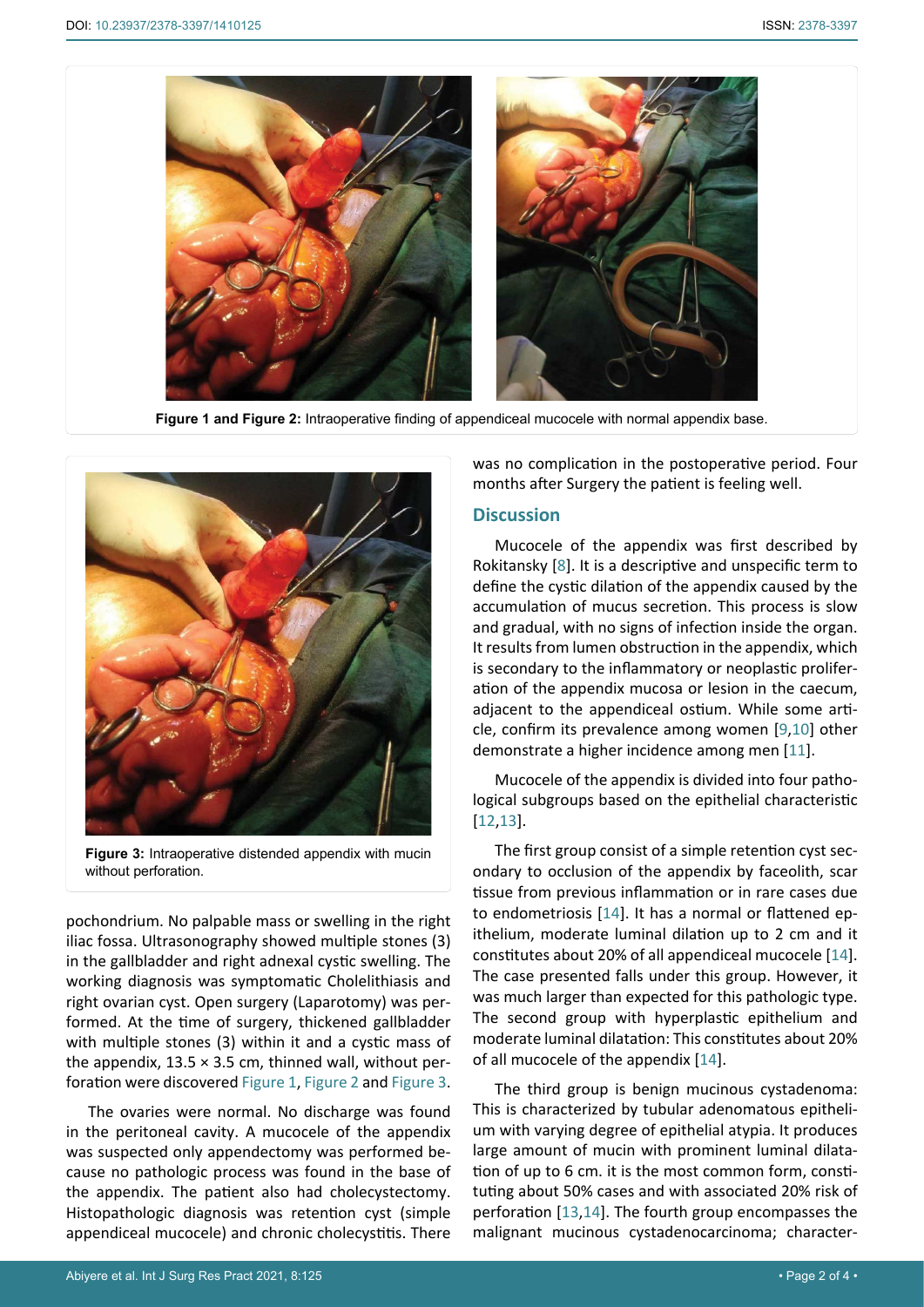<span id="page-1-0"></span>

**Figure 1 and Figure 2:** Intraoperative finding of appendiceal mucocele with normal appendix base.

<span id="page-1-1"></span>

**Figure 3:** Intraoperative distended appendix with mucin without perforation.

pochondrium. No palpable mass or swelling in the right iliac fossa. Ultrasonography showed multiple stones (3) in the gallbladder and right adnexal cystic swelling. The working diagnosis was symptomatic Cholelithiasis and right ovarian cyst. Open surgery (Laparotomy) was performed. At the time of surgery, thickened gallbladder with multiple stones (3) within it and a cystic mass of the appendix,  $13.5 \times 3.5$  cm, thinned wall, without perforation were discovered [Figure 1](#page-1-0), [Figure 2](#page-1-0) and [Figure 3.](#page-1-1)

The ovaries were normal. No discharge was found in the peritoneal cavity. A mucocele of the appendix was suspected only appendectomy was performed because no pathologic process was found in the base of the appendix. The patient also had cholecystectomy. Histopathologic diagnosis was retention cyst (simple appendiceal mucocele) and chronic cholecystitis. There

was no complication in the postoperative period. Four months after Surgery the patient is feeling well.

#### **Discussion**

Mucocele of the appendix was first described by Rokitansky [\[8](#page-2-6)]. It is a descriptive and unspecific term to define the cystic dilation of the appendix caused by the accumulation of mucus secretion. This process is slow and gradual, with no signs of infection inside the organ. It results from lumen obstruction in the appendix, which is secondary to the inflammatory or neoplastic proliferation of the appendix mucosa or lesion in the caecum, adjacent to the appendiceal ostium. While some article, confirm its prevalence among women [[9](#page-2-7)[,10\]](#page-2-8) other demonstrate a higher incidence among men [[11](#page-3-0)].

Mucocele of the appendix is divided into four pathological subgroups based on the epithelial characteristic [\[12](#page-3-1)[,13](#page-3-2)].

The first group consist of a simple retention cyst secondary to occlusion of the appendix by faceolith, scar tissue from previous inflammation or in rare cases due to endometriosis [[14](#page-3-3)]. It has a normal or flattened epithelium, moderate luminal dilation up to 2 cm and it constitutes about 20% of all appendiceal mucocele [[14\]](#page-3-3). The case presented falls under this group. However, it was much larger than expected for this pathologic type. The second group with hyperplastic epithelium and moderate luminal dilatation: This constitutes about 20% of all mucocele of the appendix [[14](#page-3-3)].

The third group is benign mucinous cystadenoma: This is characterized by tubular adenomatous epithelium with varying degree of epithelial atypia. It produces large amount of mucin with prominent luminal dilatation of up to 6 cm. it is the most common form, constituting about 50% cases and with associated 20% risk of perforation [[13](#page-3-2),[14](#page-3-3)]. The fourth group encompasses the malignant mucinous cystadenocarcinoma; character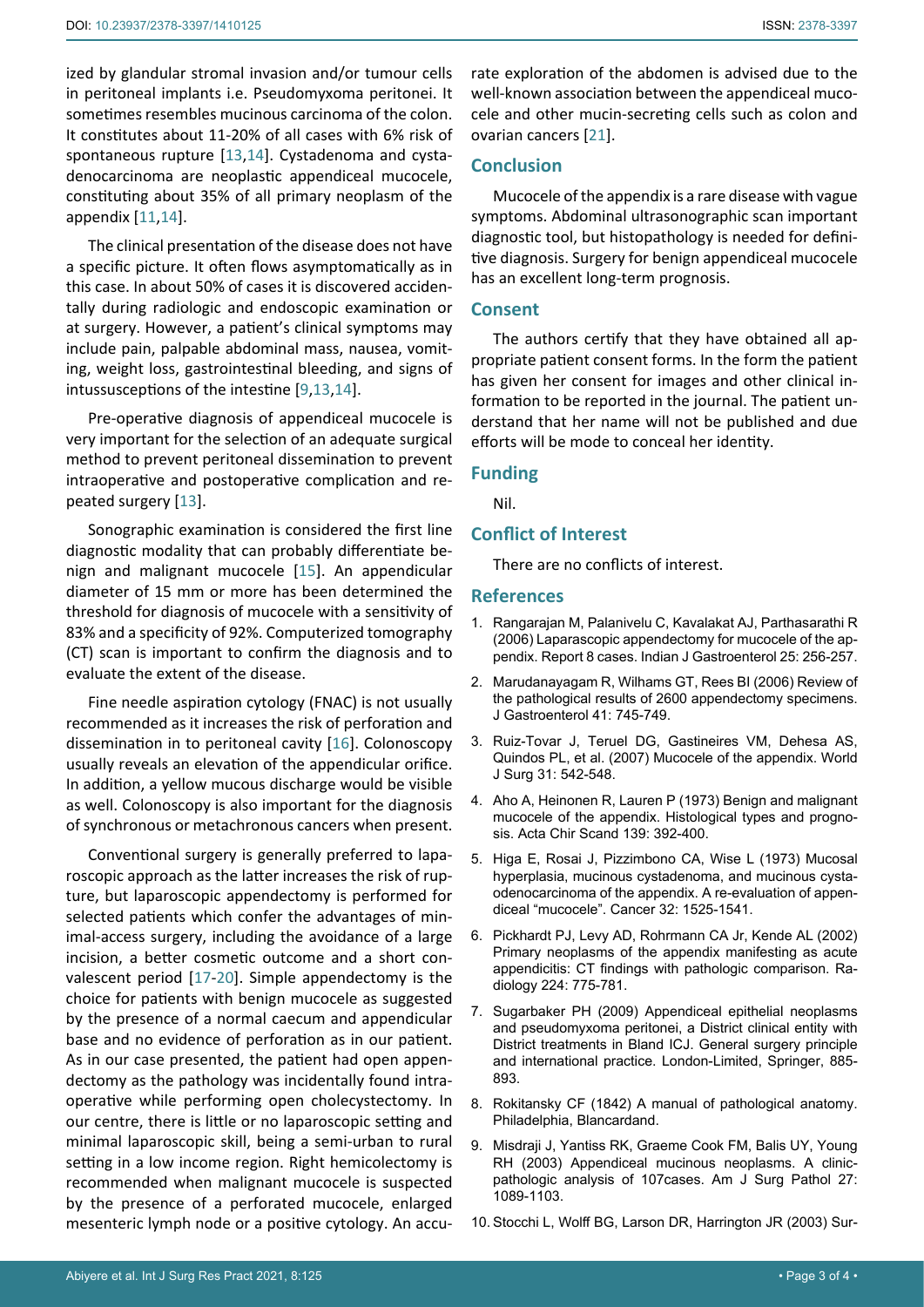ized by glandular stromal invasion and/or tumour cells in peritoneal implants i.e. Pseudomyxoma peritonei. It sometimes resembles mucinous carcinoma of the colon. It constitutes about 11-20% of all cases with 6% risk of spontaneous rupture [\[13](#page-3-2)[,14](#page-3-3)]. Cystadenoma and cystadenocarcinoma are neoplastic appendiceal mucocele, constituting about 35% of all primary neoplasm of the appendix [[11](#page-3-0)[,14\]](#page-3-3).

The clinical presentation of the disease does not have a specific picture. It often flows asymptomatically as in this case. In about 50% of cases it is discovered accidentally during radiologic and endoscopic examination or at surgery. However, a patient's clinical symptoms may include pain, palpable abdominal mass, nausea, vomiting, weight loss, gastrointestinal bleeding, and signs of intussusceptions of the intestine [[9](#page-2-7),[13,](#page-3-2)[14\]](#page-3-3).

Pre-operative diagnosis of appendiceal mucocele is very important for the selection of an adequate surgical method to prevent peritoneal dissemination to prevent intraoperative and postoperative complication and repeated surgery [[13\]](#page-3-2).

Sonographic examination is considered the first line diagnostic modality that can probably differentiate benign and malignant mucocele [[15\]](#page-3-5). An appendicular diameter of 15 mm or more has been determined the threshold for diagnosis of mucocele with a sensitivity of 83% and a specificity of 92%. Computerized tomography (CT) scan is important to confirm the diagnosis and to evaluate the extent of the disease.

Fine needle aspiration cytology (FNAC) is not usually recommended as it increases the risk of perforation and dissemination in to peritoneal cavity [[16](#page-3-6)]. Colonoscopy usually reveals an elevation of the appendicular orifice. In addition, a yellow mucous discharge would be visible as well. Colonoscopy is also important for the diagnosis of synchronous or metachronous cancers when present.

Conventional surgery is generally preferred to laparoscopic approach as the latter increases the risk of rupture, but laparoscopic appendectomy is performed for selected patients which confer the advantages of minimal-access surgery, including the avoidance of a large incision, a better cosmetic outcome and a short convalescent period [\[17](#page-3-7)-[20](#page-3-8)]. Simple appendectomy is the choice for patients with benign mucocele as suggested by the presence of a normal caecum and appendicular base and no evidence of perforation as in our patient. As in our case presented, the patient had open appendectomy as the pathology was incidentally found intraoperative while performing open cholecystectomy. In our centre, there is little or no laparoscopic setting and minimal laparoscopic skill, being a semi-urban to rural setting in a low income region. Right hemicolectomy is recommended when malignant mucocele is suspected by the presence of a perforated mucocele, enlarged mesenteric lymph node or a positive cytology. An accurate exploration of the abdomen is advised due to the well-known association between the appendiceal mucocele and other mucin-secreting cells such as colon and ovarian cancers [\[21\]](#page-3-4).

## **Conclusion**

Mucocele of the appendix is a rare disease with vague symptoms. Abdominal ultrasonographic scan important diagnostic tool, but histopathology is needed for definitive diagnosis. Surgery for benign appendiceal mucocele has an excellent long-term prognosis.

#### **Consent**

The authors certify that they have obtained all appropriate patient consent forms. In the form the patient has given her consent for images and other clinical information to be reported in the journal. The patient understand that her name will not be published and due efforts will be mode to conceal her identity.

#### **Funding**

Nil.

#### **Conflict of Interest**

There are no conflicts of interest.

#### **References**

- <span id="page-2-0"></span>1. [Rangarajan M, Palanivelu C, Kavalakat AJ, Parthasarathi R](https://pubmed.ncbi.nlm.nih.gov/17090846/)  [\(2006\) Laparascopic appendectomy for mucocele of the ap](https://pubmed.ncbi.nlm.nih.gov/17090846/)[pendix. Report 8 cases. Indian J Gastroenterol 25: 256-257.](https://pubmed.ncbi.nlm.nih.gov/17090846/)
- 2. [Marudanayagam R, Wilhams GT, Rees BI \(2006\) Review of](https://pubmed.ncbi.nlm.nih.gov/16988762/)  [the pathological results of 2600 appendectomy specimens.](https://pubmed.ncbi.nlm.nih.gov/16988762/)  [J Gastroenterol 41: 745-749.](https://pubmed.ncbi.nlm.nih.gov/16988762/)
- <span id="page-2-1"></span>3. [Ruiz-Tovar J, Teruel DG, Gastineires VM, Dehesa AS,](https://pubmed.ncbi.nlm.nih.gov/17318706/)  [Quindos PL, et al. \(2007\) Mucocele of the appendix. World](https://pubmed.ncbi.nlm.nih.gov/17318706/)  [J Surg 31: 542-548.](https://pubmed.ncbi.nlm.nih.gov/17318706/)
- <span id="page-2-2"></span>4. [Aho A, Heinonen R, Lauren P \(1973\) Benign and malignant](https://pubmed.ncbi.nlm.nih.gov/4718184/)  [mucocele of the appendix. Histological types and progno](https://pubmed.ncbi.nlm.nih.gov/4718184/)[sis. Acta Chir Scand 139: 392-400.](https://pubmed.ncbi.nlm.nih.gov/4718184/)
- <span id="page-2-3"></span>5. [Higa E, Rosai J, Pizzimbono CA, Wise L \(1973\) Mucosal](https://pubmed.ncbi.nlm.nih.gov/4757938/)  [hyperplasia, mucinous cystadenoma, and mucinous cysta](https://pubmed.ncbi.nlm.nih.gov/4757938/)[odenocarcinoma of the appendix. A re-evaluation of appen](https://pubmed.ncbi.nlm.nih.gov/4757938/)[diceal "mucocele". Cancer 32: 1525-1541.](https://pubmed.ncbi.nlm.nih.gov/4757938/)
- <span id="page-2-4"></span>6. [Pickhardt PJ, Levy AD, Rohrmann CA Jr, Kende AL \(2002\)](https://pubmed.ncbi.nlm.nih.gov/12202713/)  [Primary neoplasms of the appendix manifesting as acute](https://pubmed.ncbi.nlm.nih.gov/12202713/)  [appendicitis: CT findings with pathologic comparison. Ra](https://pubmed.ncbi.nlm.nih.gov/12202713/)[diology 224: 775-781.](https://pubmed.ncbi.nlm.nih.gov/12202713/)
- <span id="page-2-5"></span>7. Sugarbaker PH (2009) Appendiceal epithelial neoplasms and pseudomyxoma peritonei, a District clinical entity with District treatments in Bland ICJ. General surgery principle and international practice. London-Limited, Springer, 885- 893.
- <span id="page-2-6"></span>8. [Rokitansky CF \(1842\) A manual of pathological anatomy.](https://catalog.hathitrust.org/Record/006219914)  [Philadelphia, Blancardand.](https://catalog.hathitrust.org/Record/006219914)
- <span id="page-2-7"></span>9. [Misdraji J, Yantiss RK, Graeme Cook FM, Balis UY, Young](https://pubmed.ncbi.nlm.nih.gov/12883241/)  [RH \(2003\) Appendiceal mucinous neoplasms. A clinic](https://pubmed.ncbi.nlm.nih.gov/12883241/)[pathologic analysis of 107cases. Am J Surg Pathol 27:](https://pubmed.ncbi.nlm.nih.gov/12883241/)  [1089-1103.](https://pubmed.ncbi.nlm.nih.gov/12883241/)
- <span id="page-2-8"></span>10. [Stocchi L, Wolff BG, Larson DR, Harrington JR \(2003\) Sur](https://pubmed.ncbi.nlm.nih.gov/12799327/)-